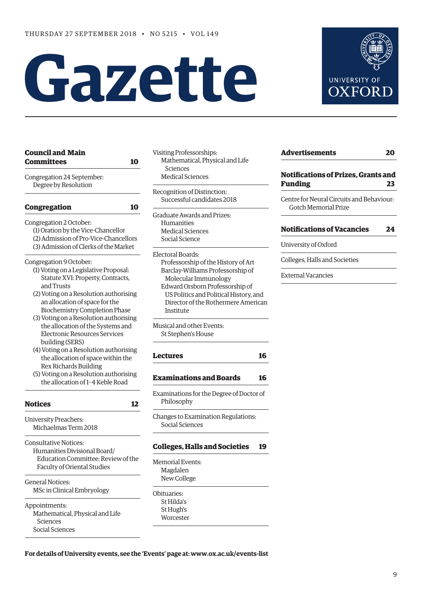# Gazette



| <b>Council and Main</b><br>Committees                       | 10 |
|-------------------------------------------------------------|----|
| Congregation 24 September:                                  |    |
| Degree by Resolution                                        |    |
| <b>Congregation</b>                                         | 10 |
| Congregation 2 October:                                     |    |
| (1) Oration by the Vice-Chancellor                          |    |
| (2) Admission of Pro-Vice-Chancellors                       |    |
| (3) Admission of Clerks of the Market                       |    |
| Congregation 9 October:                                     |    |
| (1) Voting on a Legislative Proposal:                       |    |
| Statute XVI: Property, Contracts,                           |    |
| and Trusts                                                  |    |
| (2) Voting on a Resolution authorising                      |    |
| an allocation of space for the                              |    |
| <b>Biochemistry Completion Phase</b>                        |    |
| (3) Voting on a Resolution authorising                      |    |
| the allocation of the Systems and                           |    |
| Electronic Resources Services                               |    |
| building (SERS)                                             |    |
| (4) Voting on a Resolution authorising                      |    |
| the allocation of space within the<br>Rex Richards Building |    |
| (5) Voting on a Resolution authorising                      |    |
| the allocation of 1-4 Keble Road                            |    |
|                                                             |    |
| <b>Notices</b>                                              | 12 |
| <b>University Preachers:</b>                                |    |
| Michaelmas Term 2018                                        |    |
| <b>Consultative Notices:</b>                                |    |
| Humanities Divisional Board/                                |    |
| Education Committee: Review of the                          |    |
| <b>Faculty of Oriental Studies</b>                          |    |
| <b>General Notices:</b>                                     |    |
| MSc in Clinical Embryology                                  |    |
|                                                             |    |

Appointments: Mathematical, Physical and Life Sciences Social Sciences

- isiting Professorships: Mathematical, Physical and Life Sciences Medical Sciences
- ecognition of Distinction: Successful candidates 2018
- raduate Awards and Prizes: Humanities Medical Sciences Social Science

ectoral Boards: Professorship of the History of Art Barclay-Williams Professorship of Molecular Immunology Edward Orsborn Professorship of US Politics and Political History, and Director of the Rothermere American Institute

Iusical and other Events: St Stephen's House

# **[Lectures 16](#page-7-0)**

**[Examinations and Boards 16](#page-7-0)**

Examinations for the Degree of Doctor of Philosophy

hanges to Examination Regulations: Social Sciences

# **[Colleges, Halls and Societies 19](#page-10-0)**

emorial Events: Magdalen New College

bituaries: St Hilda's St Hugh's **Worcester**  **[Advertisements 20](#page-11-0) [Notifications of Prizes, Grants and](#page-14-0)** 

**Funding 23**

Centre for Neural Circuits and Behaviour: Gotch Memorial Prize

# **[Notifications of Vacancies 24](#page-15-0)**

University of Oxford

Colleges, Halls and Societies

External Vacancies

# **For details of University events, see the 'Events' page at: [www.ox.ac.uk/events-list](http://www.ox.ac.uk/events-list)**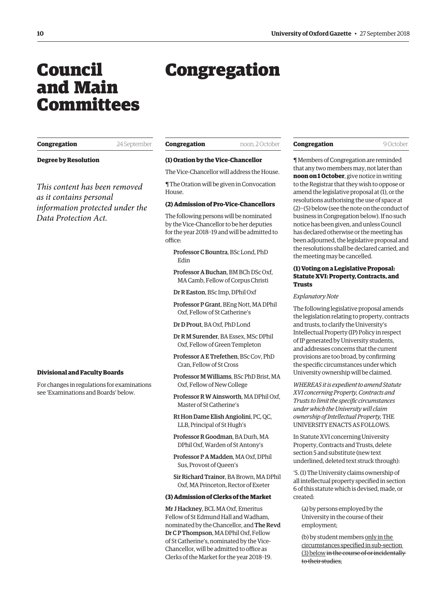# <span id="page-1-0"></span>Council and Main Committees

# Congregation

| Congregation | 24 September |
|--------------|--------------|
|              |              |

**Degree by Resolution**

*This content has been removed as it contains personal information protected under the Data Protection Act.*

# **Divisional and Faculty Boards**

For changes in regulations for examinations see 'Examinations and Boards' below.

| Congregation | noon. 2 October |
|--------------|-----------------|
|--------------|-----------------|

#### **(1) Oration by the Vice-Chancellor**

The Vice-Chancellor will address the House.

¶ The Oration will be given in Convocation House.

# **(2) Admission of Pro-Vice-Chancellors**

The following persons will be nominated by the Vice-Chancellor to be her deputies for the year 2018–19 and will be admitted to office:

Professor C Bountra, BSc Lond, PhD Edin

Professor A Buchan, BM BCh DSc Oxf, MA Camb, Fellow of Corpus Christi

Dr R Easton, BSc Imp, DPhil Oxf

Professor P Grant, BEng Nott, MA DPhil Oxf, Fellow of St Catherine's

Dr D Prout, BA Oxf, PhD Lond

Dr R M Surender, BA Essex, MSc DPhil Oxf, Fellow of Green Templeton

- Professor A E Trefethen, BSc Cov, PhD Cran, Fellow of St Cross
- Professor M Williams, BSc PhD Brist, MA Oxf, Fellow of New College
- Professor R W Ainsworth, MA DPhil Oxf, Master of St Catherine's

Rt Hon Dame Elish Angiolini, PC, QC, LLB, Principal of St Hugh's

Professor R Goodman, BA Durh, MA DPhil Oxf, Warden of St Antony's

Professor P A Madden, MA Oxf, DPhil Sus, Provost of Queen's

Sir Richard Trainor, BA Brown, MA DPhil Oxf, MA Princeton, Rector of Exeter

#### **(3) Admission of Clerks of the Market**

Mr J Hackney, BCL MA Oxf, Emeritus Fellow of St Edmund Hall and Wadham, nominated by the Chancellor, and The Revd Dr C P Thompson, MA DPhil Oxf, Fellow of St Catherine's, nominated by the Vice-Chancellor, will be admitted to office as Clerks of the Market for the year 2018–19.

| Congregatio |  |  |
|-------------|--|--|
|             |  |  |

**Congregation** 9 October

¶ Members of Congregation are reminded that any two members may, not later than **noon on 1 October**, give notice in writing to the Registrar that they wish to oppose or amend the legislative proposal at (1), or the resolutions authorising the use of space at (2)−(5) below (see the note on the conduct of business in Congregation below). If no such notice has been given, and unless Council has declared otherwise or the meeting has been adjourned, the legislative proposal and the resolutions shall be declared carried, and the meeting may be cancelled.

# **(1) Voting on a Legislative Proposal: Statute XVI: Property, Contracts, and Trusts**

#### *Explanatory Note*

The following legislative proposal amends the legislation relating to property, contracts and trusts, to clarify the University's Intellectual Property (IP) Policy in respect of IP generated by University students, and addresses concerns that the current provisions are too broad, by confirming the specific circumstances under which University ownership will be claimed.

*WHEREAS it is expedient to amend Statute XVI concerning Property, Contracts and Trusts to limit the specific circumstances under which the University will claim ownership of Intellectual Property,* THE UNIVERSITY ENACTS AS FOLLOWS.

In Statute XVI concerning University Property, Contracts and Trusts, delete section 5 and substitute (new text underlined, deleted text struck through):

'5. (1) The University claims ownership of all intellectual property specified in section 6 of this statute which is devised, made, or created:

(a) by persons employed by the University in the course of their employment;

(b) by student members only in the circumstances specified in sub-section (3) below in the course of or incidentally to their studies;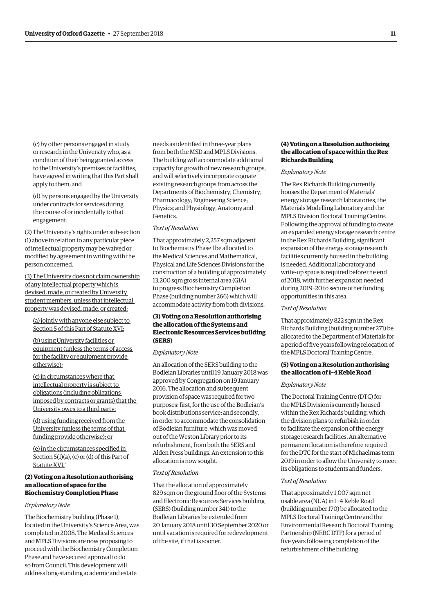(c) by other persons engaged in study or research in the University who, as a condition of their being granted access to the University's premises or facilities, have agreed in writing that this Part shall apply to them; and

(d) by persons engaged by the University under contracts for services during the course of or incidentally to that engagement.

(2) The University's rights under sub-section (1) above in relation to any particular piece of intellectual property may be waived or modified by agreement in writing with the person concerned.

(3) The University does not claim ownership of any intellectual property which is devised, made, or created by University student members, unless that intellectual property was devised, made, or created:

(a) jointly with anyone else subject to Section 5 of this Part of Statute XVI;

(b) using University facilities or equipment (unless the terms of access for the facility or equipment provide otherwise);

(c) in circumstances where that intellectual property is subject to obligations (including obligations imposed by contracts or grants) that the University owes to a third party;

(d) using funding received from the University (unless the terms of that funding provide otherwise); or

(e) in the circumstances specified in Section 5(1)(a), (c) or (d) of this Part of Statute XVI.'

# **(2) Voting on a Resolution authorising an allocation of space for the Biochemistry Completion Phase**

# *Explanatory Note*

The Biochemistry building (Phase 1), located in the University's Science Area, was completed in 2008. The Medical Sciences and MPLS Divisions are now proposing to proceed with the Biochemistry Completion Phase and have secured approval to do so from Council. This development will address long-standing academic and estate

needs as identified in three-year plans from both the MSD and MPLS Divisions. The building will accommodate additional capacity for growth of new research groups, and will selectively incorporate cognate existing research groups from across the Departments of Biochemistry; Chemistry; Pharmacology; Engineering Science; Physics; and Physiology, Anatomy and Genetics.

### *Text of Resolution*

That approximately 2,257 sqm adjacent to Biochemistry Phase I be allocated to the Medical Sciences and Mathematical, Physical and Life Sciences Divisions for the construction of a building of approximately 13,200 sqm gross internal area (GIA) to progress Biochemistry Completion Phase (building number 266) which will accommodate activity from both divisions.

# **(3) Voting on a Resolution authorising the allocation of the Systems and Electronic Resources Services building (SERS)**

#### *Explanatory Note*

An allocation of the SERS building to the Bodleian Libraries until 19 January 2018 was approved by Congregation on 19 January 2016. The allocation and subsequent provision of space was required for two purposes: first, for the use of the Bodleian's book distributions service; and secondly, in order to accommodate the consolidation of Bodleian furniture, which was moved out of the Weston Library prior to its refurbishment, from both the SERS and Alden Press buildings. An extension to this allocation is now sought.

#### *Text of Resolution*

That the allocation of approximately 829 sqm on the ground floor of the Systems and Electronic Resources Services building (SERS) (building number 341) to the Bodleian Libraries be extended from 20 January 2018 until 30 September 2020 or until vacation is required for redevelopment of the site, if that is sooner.

# **(4) Voting on a Resolution authorising the allocation of space within the Rex Richards Building**

# *Explanatory Note*

The Rex Richards Building currently houses the Department of Materials' energy storage research laboratories, the Materials Modelling Laboratory and the MPLS Division Doctoral Training Centre. Following the approval of funding to create an expanded energy storage research centre in the Rex Richards Building, significant expansion of the energy storage research facilities currently housed in the building is needed. Additional laboratory and write-up space is required before the end of 2018, with further expansion needed during 2019–20 to secure other funding opportunities in this area.

#### *Text of Resolution*

That approximately 822 sqm in the Rex Richards Building (building number 271) be allocated to the Department of Materials for a period of five years following relocation of the MPLS Doctoral Training Centre.

# **(5) Voting on a Resolution authorising the allocation of 1–4 Keble Road**

#### *Explanatory Note*

The Doctoral Training Centre (DTC) for the MPLS Division is currently housed within the Rex Richards building, which the division plans to refurbish in order to facilitate the expansion of the energy storage research facilities. An alternative permanent location is therefore required for the DTC for the start of Michaelmas term 2019 in order to allow the University to meet its obligations to students and funders.

# *Text of Resolution*

That approximately 1,007 sqm net usable area (NUA) in 1–4 Keble Road (building number 170) be allocated to the MPLS Doctoral Training Centre and the Environmental Research Doctoral Training Partnership (NERC DTP) for a period of five years following completion of the refurbishment of the building.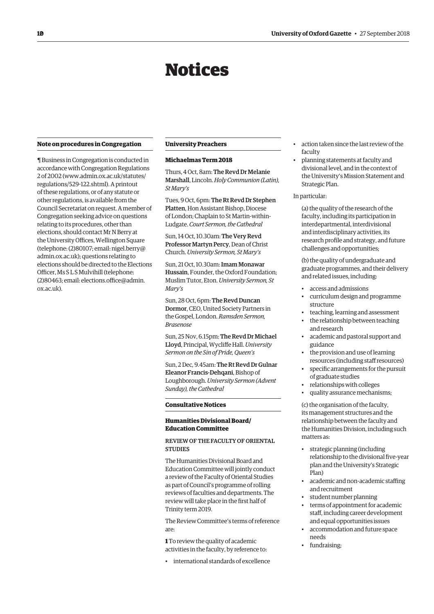# Notices

#### <span id="page-3-0"></span>**Note on procedures in Congregation**

¶ Business in Congregation is conducted in accordance with Congregation Regulations 2 of 2002 ([www.admin.ox.ac.uk/statutes/](http://www.admin.ox.ac.uk/statutes/regulations/529-122.shtml) [regulations/529-122.shtml\). A p](http://www.admin.ox.ac.uk/statutes/regulations/529-122.shtml)rintout of these regulations, or of any statute or other regulations, is available from the Council Secretariat on request. A member of Congregation seeking advice on questions relating to its procedures, other than elections, should contact Mr N Berry at the University Offices, Wellington Square [\(telephone: \(2\)80107; email: nigel.berry@](mailto:nigel.berry@admin.ox.ac.uk) admin.ox.ac.uk); questions relating to elections should be directed to the Elections Officer, Ms S L S Mulvihill (telephone: [\(2\)80463; email: elections.office@admin.](mailto:elections.office@admin.ox.ac.uk) ox.ac.uk).

#### **University Preachers**

## **Michaelmas Term 2018**

Thurs, 4 Oct, 8am: The Revd Dr Melanie Marshall, Lincoln. *Holy Communion (Latin), St Mary's*

Tues, 9 Oct, 6pm: The Rt Revd Dr Stephen Platten, Hon Assistant Bishop, Diocese of London; Chaplain to St Martin-within-Ludgate. *Court Sermon, the Cathedral*

Sun, 14 Oct, 10.30am: The Very Revd Professor Martyn Percy, Dean of Christ Church. *University Sermon, St Mary's*

Sun, 21 Oct, 10.30am: Imam Monawar Hussain, Founder, the Oxford Foundation; Muslim Tutor, Eton. *University Sermon, St Mary's*

Sun, 28 Oct, 6pm: The Revd Duncan Dormor, CEO, United Society Partners in the Gospel, London. *Ramsden Sermon, Brasenose*

Sun, 25 Nov, 6.15pm: The Revd Dr Michael Lloyd, Principal, Wycliffe Hall. *University Sermon on the Sin of Pride, Queen's*

Sun, 2 Dec, 9.45am: The Rt Revd Dr Gulnar Eleanor Francis-Dehqani, Bishop of Loughborough. *University Sermon (Advent Sunday), the Cathedral*

#### **Consultative Notices**

# **Humanities Divisional Board/ Education Committee**

# REVIEW OF THE FACULTY OF ORIENTAL **STUDIES**

The Humanities Divisional Board and Education Committee will jointly conduct a review of the Faculty of Oriental Studies as part of Council's programme of rolling reviews of faculties and departments. The review will take place in the first half of Trinity term 2019.

The Review Committee's terms of reference are:

**1** To review the quality of academic activities in the faculty, by reference to:

• international standards of excellence

- action taken since the last review of the faculty
- planning statements at faculty and divisional level, and in the context of the University's Mission Statement and Strategic Plan.

# In particular:

(a) the quality of the research of the faculty, including its participation in interdepartmental, interdivisional and interdisciplinary activities, its research profile and strategy, and future challenges and opportunities;

(b) the quality of undergraduate and graduate programmes, and their delivery and related issues, including:

- access and admissions
- curriculum design and programme structure
- teaching, learning and assessment
- the relationship between teaching and research
- academic and pastoral support and guidance
- the provision and use of learning resources (including staff resources)
- specific arrangements for the pursuit of graduate studies
- relationships with colleges
- quality assurance mechanisms;

(c) the organisation of the faculty, its management structures and the relationship between the faculty and the Humanities Division, including such matters as:

- strategic planning (including relationship to the divisional five-year plan and the University's Strategic Plan)
- academic and non-academic staffing and recruitment
- student number planning
- terms of appointment for academic staff, including career development and equal opportunities issues
- accommodation and future space needs
- fundraising;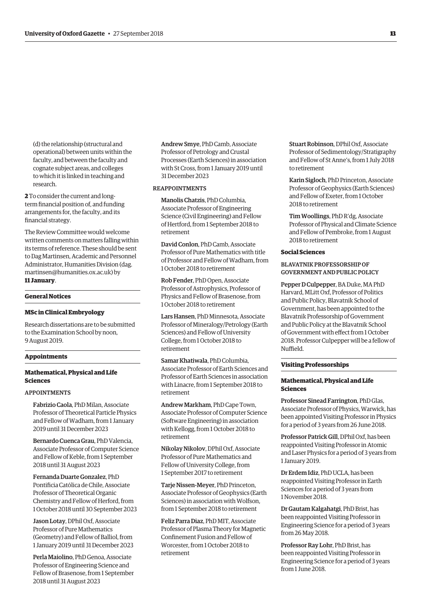(d) the relationship (structural and operational) between units within the faculty, and between the faculty and cognate subject areas, and colleges to which it is linked in teaching and research.

**2** To consider the current and longterm financial position of, and funding arrangements for, the faculty, and its financial strategy.

The Review Committee would welcome written comments on matters falling within its terms of reference. These should be sent to Dag Martinsen, Academic and Personnel [Administrator, Humanities Division \(dag.](mailto:dag.martinsen@humanities.ox.ac.uk) martinsen@humanities.ox.ac.uk) by **11 January**.

#### **General Notices**

#### **MSc in Clinical Embryology**

Research dissertations are to be submitted to the Examination School by noon, 9 August 2019.

# **Appointments**

# **Mathematical, Physical and Life Sciences**

#### APPOINTMENTS

Fabrizio Caola, PhD Milan, Associate Professor of Theoretical Particle Physics and Fellow of Wadham, from 1 January 2019 until 31 December 2023

Bernardo Cuenca Grau, PhD Valencia, Associate Professor of Computer Science and Fellow of Keble, from 1 September 2018 until 31 August 2023

Fernanda Duarte Gonzalez, PhD Pontificia Católica de Chile, Associate Professor of Theoretical Organic Chemistry and Fellow of Herford, from 1 October 2018 until 30 September 2023

Jason Lotay, DPhil Oxf, Associate Professor of Pure Mathematics (Geometry) and Fellow of Balliol, from 1 January 2019 until 31 December 2023

Perla Maiolino, PhD Genoa, Associate Professor of Engineering Science and Fellow of Brasenose, from 1 September 2018 until 31 August 2023

Andrew Smye, PhD Camb, Associate Professor of Petrology and Crustal Processes (Earth Sciences) in association with St Cross, from 1 January 2019 until 31 December 2023

# REAPPOINTMENTS

Manolis Chatzis, PhD Columbia, Associate Professor of Engineering Science (Civil Engineering) and Fellow of Hertford, from 1 September 2018 to retirement

David Conlon, PhD Camb, Associate Professor of Pure Mathematics with title of Professor and Fellow of Wadham, from 1 October 2018 to retirement

Rob Fender, PhD Open, Associate Professor of Astrophysics, Professor of Physics and Fellow of Brasenose, from 1 October 2018 to retirement

Lars Hansen, PhD Minnesota, Associate Professor of Mineralogy/Petrology (Earth Sciences) and Fellow of University College, from 1 October 2018 to retirement

Samar Khatiwala, PhD Columbia, Associate Professor of Earth Sciences and Professor of Earth Sciences in association with Linacre, from 1 September 2018 to retirement

Andrew Markham, PhD Cape Town, Associate Professor of Computer Science (Software Engineering) in association with Kellogg, from 1 October 2018 to retirement

Nikolay Nikolov, DPhil Oxf, Associate Professor of Pure Mathematics and Fellow of University College, from 1 September 2017 to retirement

Tarje Nissen-Meyer, PhD Princeton, Associate Professor of Geophysics (Earth Sciences) in association with Wolfson, from 1 September 2018 to retirement

Feliz Parra Diaz, PhD MIT, Associate Professor of Plasma Theory for Magnetic Confinement Fusion and Fellow of Worcester, from 1 October 2018 to retirement

Stuart Robinson, DPhil Oxf, Associate Professor of Sedimentology/Stratigraphy and Fellow of St Anne's, from 1 July 2018 to retirement

Karin Sigloch, PhD Princeton, Associate Professor of Geophysics (Earth Sciences) and Fellow of Exeter, from 1 October 2018 to retirement

Tim Woollings, PhD R'dg, Associate Professor of Physical and Climate Science and Fellow of Pembroke, from 1 August 2018 to retirement

# **Social Sciences**

# BLAVATNIK PROFESSORSHIP OF GOVERNMENT AND PUBLIC POLICY

Pepper D Culpepper, BA Duke, MA PhD Harvard, MLitt Oxf, Professor of Politics and Public Policy, Blavatnik School of Government, has been appointed to the Blavatnik Professorship of Government and Public Policy at the Blavatnik School of Government with effect from 1 October 2018. Professor Culpepper will be a fellow of Nuffield.

## **Visiting Professorships**

# **Mathematical, Physical and Life Sciences**

Professor Sinead Farrington, PhD Glas, Associate Professor of Physics, Warwick, has been appointed Visiting Professor in Physics for a period of 3 years from 26 June 2018.

Professor Patrick Gill, DPhil Oxf, has been reappointed Visiting Professor in Atomic and Laser Physics for a period of 3 years from 1 January 2019.

Dr Erdem Idiz, PhD UCLA, has been reappointed Visiting Professor in Earth Sciences for a period of 3 years from 1 November 2018.

Dr Gautam Kalgahatgi, PhD Brist, has been reappointed Visiting Professor in Engineering Science for a period of 3 years from 26 May 2018.

Professor Ray Lohr, PhD Brist, has been reappointed Visiting Professor in Engineering Science for a period of 3 years from 1 June 2018.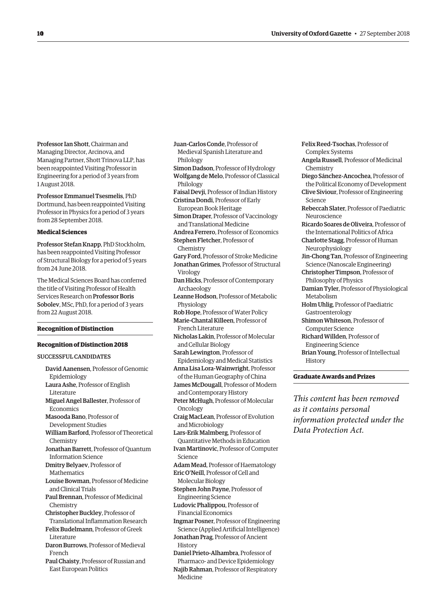Felix Reed-Tsochas, Professor of

Professor Ian Shott, Chairman and Managing Director, Arcinova, and Managing Partner, Shott Trinova LLP, has been reappointed Visiting Professor in Engineering for a period of 3 years from 1 August 2018.

Professor Emmanuel Tsesmelis, PhD Dortmund, has been reappointed Visiting Professor in Physics for a period of 3 years from 28 September 2018.

# **Medical Sciences**

Professor Stefan Knapp, PhD Stockholm, has been reappointed Visiting Professor of Structural Biology for a period of 5 years from 24 June 2018.

The Medical Sciences Board has conferred the title of Visiting Professor of Health Services Research on Professor Boris Sobolev, MSc, PhD, for a period of 3 years from 22 August 2018.

# **Recognition of Distinction**

# **Recognition of Distinction 2018**

SUCCESSFUL CANDIDATES

David Aanensen, Professor of Genomic Epidemiology Laura Ashe, Professor of English Literature Miguel Angel Ballester, Professor of Economics Masooda Bano, Professor of Development Studies William Barford, Professor of Theoretical Chemistry Jonathan Barrett, Professor of Quantum Information Science Dmitry Belyaev, Professor of Mathematics Louise Bowman, Professor of Medicine and Clinical Trials Paul Brennan, Professor of Medicinal Chemistry Christopher Buckley, Professor of Translational Inflammation Research Felix Budelmann, Professor of Greek Literature Daron Burrows, Professor of Medieval French Paul Chaisty, Professor of Russian and East European Politics

Juan-Carlos Conde, Professor of Medieval Spanish Literature and Philology

Simon Dadson, Professor of Hydrology Wolfgang de Melo, Professor of Classical Philology

Faisal Devji, Professor of Indian History Cristina Dondi, Professor of Early

- European Book Heritage
- Simon Draper, Professor of Vaccinology and Translational Medicine
- Andrea Ferrero, Professor of Economics Stephen Fletcher, Professor of
- Chemistry

Gary Ford, Professor of Stroke Medicine Jonathan Grimes, Professor of Structural Virology

Dan Hicks, Professor of Contemporary Archaeology

- Leanne Hodson, Professor of Metabolic Physiology
- Rob Hope, Professor of Water Policy Marie-Chantal Killeen, Professor of French Literature
- Nicholas Lakin, Professor of Molecular and Cellular Biology
- Sarah Lewington, Professor of Epidemiology and Medical Statistics
- Anna Lisa Lora-Wainwright, Professor of the Human Geography of China
- James McDougall, Professor of Modern and Contemporary History
- Peter McHugh, Professor of Molecular Oncology
- Craig MacLean, Professor of Evolution and Microbiology

Lars-Erik Malmberg, Professor of Quantitative Methods in Education

- Ivan Martinovic, Professor of Computer Science
- Adam Mead, Professor of Haematology Eric O'Neill, Professor of Cell and
	- Molecular Biology
- Stephen John Payne, Professor of Engineering Science
- Ludovic Phalippou, Professor of Financial Economics
- Ingmar Posner, Professor of Engineering Science (Applied Artificial Intelligence)
- Jonathan Prag, Professor of Ancient History
- Daniel Prieto-Alhambra, Professor of Pharmaco- and Device Epidemiology
- Najib Rahman, Professor of Respiratory Medicine

Complex Systems Angela Russell, Professor of Medicinal Chemistry Diego Sánchez-Ancochea, Professor of the Political Economy of Development Clive Siviour, Professor of Engineering Science Rebeccah Slater, Professor of Paediatric **Neuroscience** Ricardo Soares de Oliveira, Professor of the International Politics of Africa Charlotte Stagg, Professor of Human Neurophysiology Jin-Chong Tan, Professor of Engineering Science (Nanoscale Engineering) Christopher Timpson, Professor of Philosophy of Physics Damian Tyler, Professor of Physiological Metabolism Holm Uhlig, Professor of Paediatric Gastroenterology Shimon Whiteson, Professor of Computer Science Richard Willden, Professor of Engineering Science Brian Young, Professor of Intellectual

History

# **Graduate Awards and Prizes**

*This content has been removed as it contains personal information protected under the Data Protection Act.*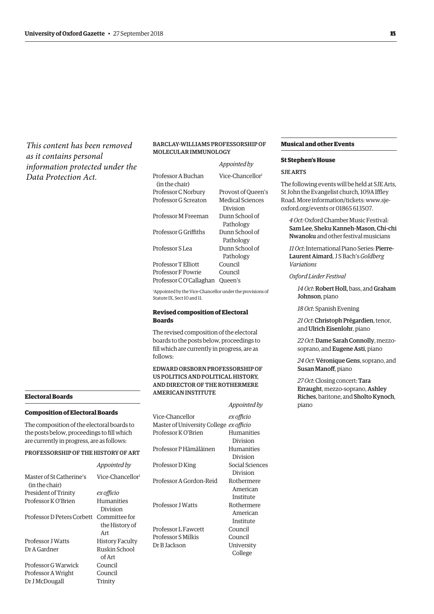*This content has been removed as it contains personal information protected under the Data Protection Act.*

#### **Electoral Boards**

# **Composition of Electoral Boards**

The composition of the electoral boards to the posts below, proceedings to fill which are currently in progress, are as follows:

## PROFESSORSHIP OF THE HISTORY OF ART

|                                            | Appointed by                           |
|--------------------------------------------|----------------------------------------|
| Master of St Catherine's<br>(in the chair) | Vice-Chancellor <sup>1</sup>           |
| President of Trinity                       | ex officio                             |
| Professor K O'Brien                        | Humanities<br>Division                 |
| Professor D Peters Corbett                 | Committee for<br>the History of<br>Art |
| Professor J Watts                          | History Faculty                        |
| Dr A Gardner                               | Ruskin School<br>of Art                |
| Professor G Warwick                        | Council                                |
| Professor A Wright                         | Council                                |
| Dr J McDougall                             | Trinity                                |
|                                            |                                        |

# BARCLAY-WILLIAMS PROFESSORSHIP OF MOLECULAR IMMUNOLOGY

| Vice-Chancellor <sup>1</sup> |
|------------------------------|
|                              |
| Provost of Queen's           |
| Medical Sciences             |
| Division                     |
| Dunn School of               |
| Pathology                    |
| Dunn School of               |
| Pathology                    |
| Dunn School of               |
| Pathology                    |
| Council                      |
| Council                      |
| Oueen's                      |
|                              |

1 Appointed by the Vice-Chancellor under the provisions of Statute IX, Sect 10 and 11.

# **Revised composition of Electoral Boards**

The revised composition of the electoral boards to the posts below, proceedings to fill which are currently in progress, are as follows:

# EDWARD ORSBORN PROFESSORSHIP OF US POLITICS AND POLITICAL HISTORY, AND DIRECTOR OF THE ROTHERMERE AMERICAN INSTITUTE

*Appointed by*

| Vice-Chancellor                         | ex officio      |
|-----------------------------------------|-----------------|
| Master of University College ex officio |                 |
| Professor K O'Brien                     | Humanities      |
|                                         | Division        |
| Professor P Hämäläinen                  | Humanities      |
|                                         | Division        |
| Professor D King                        | Social Sciences |
|                                         | Division        |
| Professor A Gordon-Reid                 | Rothermere      |
|                                         | American        |
|                                         | Institute       |
| <b>Professor I Watts</b>                | Rothermere      |
|                                         | American        |
|                                         | Institute       |
| Professor L Fawcett                     | Council         |
| Professor S Milkis                      | Council         |
| Dr B Jackson                            | University      |
|                                         | College         |
|                                         |                 |

#### **Musical and other Events**

#### **St Stephen's House**

# SJE ARTS

The following events will be held at SJE Arts, St John the Evangelist church, 109A Iffley [Road. More information/tickets: www.sje](https://www.sje-oxford.org/events.html)oxford.org/events or 01865 613507.

*4 Oct:* Oxford Chamber Music Festival: Sam Lee, Sheku Kanneh-Mason, Chi-chi Nwanoku and other festival musicians

*11 Oct*: International Piano Series: Pierre-Laurent Aimard, J S Bach's *Goldberg Variations*

*Oxford Lieder Festival*

*14 Oct*: Robert Holl, bass, and Graham Johnson, piano

*18 Oct*: Spanish Evening

*21 Oct*: Christoph Prégardien, tenor, and Ulrich Eisenlohr, piano

*22 Oct*: Dame Sarah Connolly, mezzosoprano, and Eugene Asti, piano

*24 Oct*: Véronique Gens, soprano, and Susan Manoff, piano

*27 Oct*: Closing concert: Tara Erraught, mezzo-soprano, Ashley Riches, baritone, and Sholto Kynoch, piano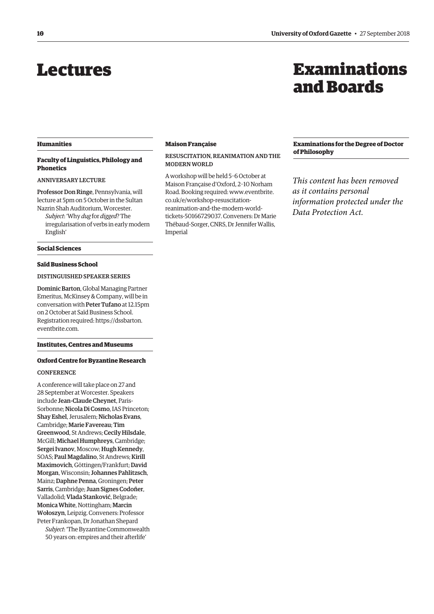# <span id="page-7-0"></span>Lectures

# Examinations and Boards

# **Humanities**

# **Faculty of Linguistics, Philology and Phonetics**

# ANNIVERSARY LECTURE

Professor Don Ringe, Pennsylvania, will lecture at 5pm on 5 October in the Sultan

Nazrin Shah Auditorium, Worcester. *Subject*: 'Why *dug* for *digged*? The irregularisation of verbs in early modern English'

#### **Social Sciences**

# **Saïd Business School**

# DISTINGUISHED SPEAKER SERIES

Dominic Barton, Global Managing Partner Emeritus, McKinsey & Company, will be in conversation with Peter Tufano at 12.15pm on 2 October at Saïd Business School. [Registration required: https://dssbarton.](https://dssbarton.eventbrite.com) eventbrite.com.

# **Institutes, Centres and Museums**

#### **Oxford Centre for Byzantine Research**

# **CONFERENCE**

A conference will take place on 27 and 28 September at Worcester. Speakers include Jean-Claude Cheynet, Paris-Sorbonne; Nicola Di Cosmo, IAS Princeton; Shay Eshel, Jerusalem; Nicholas Evans, Cambridge; Marie Favereau; Tim Greenwood, St Andrews; Cecily Hilsdale, McGill; Michael Humphreys, Cambridge; Sergei Ivanov, Moscow; Hugh Kennedy, SOAS; Paul Magdalino, St Andrews; Kirill Maximovich, Göttingen/Frankfurt; David Morgan, Wisconsin; Johannes Pahlitzsch, Mainz; Daphne Penna, Groningen; Peter Sarris, Cambridge; Juan Signes Codoñer, Valladolid; Vlada Stanković, Belgrade; Monica White, Nottingham; Marcin Wołoszyn, Leipzig. Conveners: Professor Peter Frankopan, Dr Jonathan Shepard *Subject*: 'The Byzantine Commonwealth

50 years on: empires and their afterlife'

#### **Maison Française**

# RESUSCITATION, REANIMATION AND THE MODERN WORLD

A workshop will be held 5–6 October at Maison Française d'Oxford, 2–10 Norham Road. Booking required: www.eventbrite. co.uk/e/workshop-resuscitationreanimation-and-the-modern-world[tickets-50166729037. Conveners: Dr Marie](www.eventbrite.co.uk/e/workshop-resuscitation-reanimation-and-the-modern-world-tickets-50166729037)  Thébaud-Sorger, CNRS, Dr Jennifer Wallis, Imperial

**Examinations for the Degree of Doctor of Philosophy**

*This content has been removed as it contains personal information protected under the Data Protection Act.*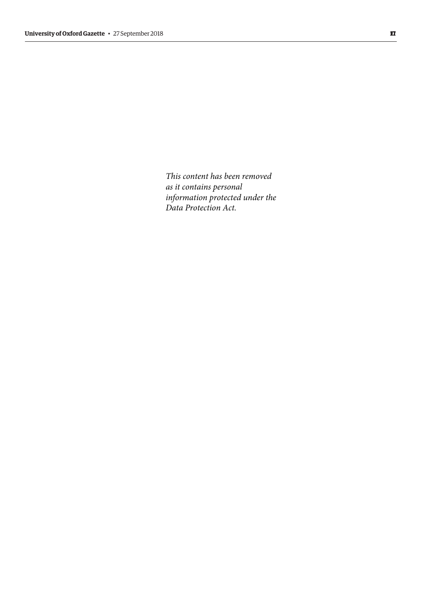*This content has been removed as it contains personal information protected under the Data Protection Act.*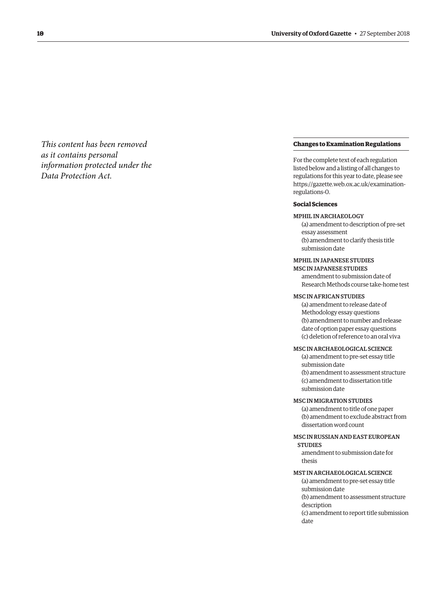*This content has been removed as it contains personal information protected under the Data Protection Act.*

# **Changes to Examination Regulations**

For the complete text of each regulation listed below and a listing of all changes to regulations for this year to date, please see [https://gazette.web.ox.ac.uk/examination](https://gazette.web.ox.ac.uk/examination-regulations-O)regulations-0.

# **Social Sciences**

# MPHIL IN ARCHAEOLOGY

(a) amendment to description of pre-set essay assessment (b) amendment to clarify thesis title submission date

# MPHIL IN JAPANESE STUDIES

MSC IN JAPANESE STUDIES amendment to submission date of Research Methods course take-home test

#### MSC IN AFRICAN STUDIES

(a) amendment to release date of Methodology essay questions (b) amendment to number and release date of option paper essay questions (c) deletion of reference to an oral viva

# MSC IN ARCHAEOLOGICAL SCIENCE

(a) amendment to pre-set essay title submission date (b) amendment to assessment structure (c) amendment to dissertation title submission date

#### MSC IN MIGRATION STUDIES

(a) amendment to title of one paper (b) amendment to exclude abstract from dissertation word count

# MSC IN RUSSIAN AND EAST EUROPEAN **STUDIES**

amendment to submission date for thesis

# MST IN ARCHAEOLOGICAL SCIENCE

(a) amendment to pre-set essay title submission date (b) amendment to assessment structure description (c) amendment to report title submission date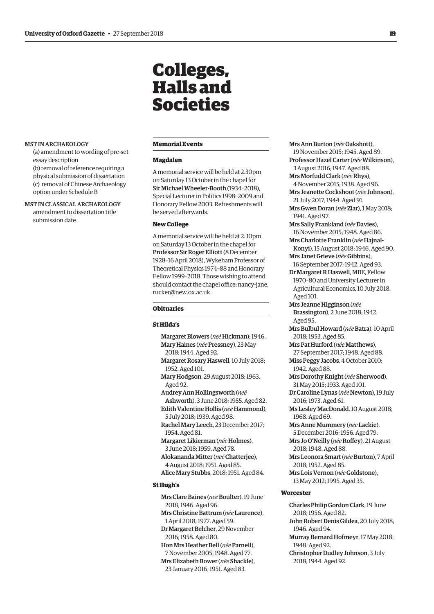# Colleges, Halls and Societies

#### <span id="page-10-0"></span>MST IN ARCHAEOLOGY

- (a) amendment to wording of pre-set essay description (b) removal of reference requiring a
- physical submission of dissertation (c) removal of Chinese Archaeology option under Schedule B
- MST IN CLASSICAL ARCHAEOLOGY amendment to dissertation title submission date

# **Memorial Events**

#### **Magdalen**

A memorial service will be held at 2.30pm on Saturday 13 October in the chapel for Sir Michael Wheeler-Booth (1934–2018), Special Lecturer in Politics 1998–2009 and Honorary Fellow 2003. Refreshments will be served afterwards.

# **New College**

A memorial service will be held at 2.30pm on Saturday 13 October in the chapel for Professor Sir Roger Elliott (8 December 1928–16 April 2018), Wykeham Professor of Theoretical Physics 1974–88 and Honorary Fellow 1999–2018. Those wishing to attend [should contact the chapel office: nancy-jane.](mailto:nancy-jane.rucker@new.ox.ac.uk) rucker@new.ox.ac.uk.

## **Obituaries**

## **St Hilda's**

Margaret Blowers (*neé* Hickman); 1946. Mary Haines (*née* Pressney), 23 May 2018; 1944. Aged 92. Margaret Rosary Haswell, 10 July 2018; 1952. Aged 101. Mary Hodgson, 29 August 2018; 1963. Aged 92. Audrey Ann Hollingsworth (*neé* Ashworth), 3 June 2018; 1955. Aged 82. Edith Valentine Hollis (*née* Hammond), 5 July 2018; 1939. Aged 98. Rachel Mary Leech, 23 December 2017; 1954. Aged 81. Margaret Likierman (*née* Holmes), 3 June 2018; 1959. Aged 78. Alokananda Mitter (*neé*Chatterjee), 4 August 2018; 1951. Aged 85. Alice Mary Stubbs, 2018; 1951. Aged 84. **St Hugh's**  Mrs Clare Baines (*née*Boulter), 19 June 2018; 1946. Aged 96. Mrs Christine Battrum (*née* Laurence),

1 April 2018; 1977. Aged 59. Dr Margaret Belcher, 29 November 2016; 1958. Aged 80. Hon Mrs Heather Bell (*née* Parnell), 7 November 2005; 1948. Aged 77. Mrs Elizabeth Bower (*née* Shackle), 23 January 2016; 1951. Aged 83.

Mrs Ann Burton (*née*Oakshott), 19 November 2015; 1945. Aged 89. Professor Hazel Carter (*née*Wilkinson), 3 August 2016; 1947. Aged 88. Mrs Morfudd Clark (*née*Rhys), 4 November 2015; 1938. Aged 96. Mrs Jeanette Cockshoot (*née* Johnson), 21 July 2017; 1944. Aged 91. Mrs Gwen Doran (*née* Ziar), 1 May 2018; 1941. Aged 97. Mrs Sally Frankland (*née*Davies), 16 November 2015; 1948. Aged 86. Mrs Charlotte Franklin (*née* Hajnal-Konyi), 15 August 2018; 1946. Aged 90. Mrs Janet Grieve (*née*Gibbins), 16 September 2017; 1942. Aged 93. Dr Margaret R Haswell, MBE, Fellow 1970–80 and University Lecturer in Agricultural Economics, 10 July 2018. Aged 101. Mrs Jeanne Higginson (*née* Brassington), 2 June 2018; 1942. Aged 95. Mrs Bulbul Howard (*née*Batra), 10 April 2018; 1953. Aged 85. Mrs Pat Hurford (*née* Matthews), 27 September 2017; 1948. Aged 88. Miss Peggy Jacobs, 4 October 2010; 1942. Aged 88. Mrs Dorothy Knight (*née* Sherwood), 31 May 2015; 1933. Aged 101. Dr Caroline Lynas (*née* Newton), 19 July 2016; 1973. Aged 61. Ms Lesley MacDonald, 10 August 2018; 1968. Aged 69. Mrs Anne Mummery (*née* Lackie), 5 December 2016; 1956. Aged 79. Mrs Jo O'Neilly (*née*Roffey), 21 August 2018; 1948. Aged 88. Mrs Leonora Smart (*née*Burton), 7 April 2018; 1952. Aged 85. Mrs Lois Vernon (*née*Goldstone), 13 May 2012; 1995. Aged 35. **Worcester** Charles Philip Gordon Clark, 19 June 2018; 1956. Aged 82. John Robert Denis Gildea, 20 July 2018;

1946. Aged 94. Murray Bernard Hofmeyr, 17 May 2018; 1948. Aged 92. Christopher Dudley Johnson, 3 July

2018; 1944. Aged 92.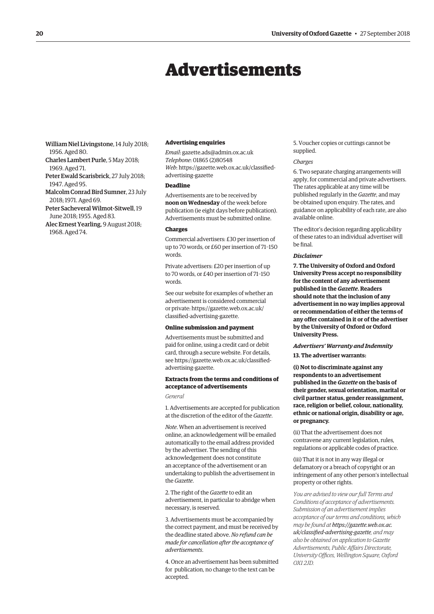# Advertisements

<span id="page-11-0"></span>William Niel Livingstone, 14 July 2018; 1956. Aged 80. Charles Lambert Purle, 5 May 2018; 1969. Aged 71. Peter Ewald Scarisbrick, 27 July 2018; 1947. Aged 95. Malcolm Conrad Bird Sumner, 23 July 2018; 1971. Aged 69. Peter Sacheveral Wilmot-Sitwell, 19 June 2018; 1955. Aged 83. Alec Ernest Yearling, 9 August 2018;

1968. Aged 74.

#### **Advertising enquiries**

*Email*: [gazette.ads@admin.ox.ac.uk](mailto:gazette.ads@admin.ox.ac.uk) *Telephone*: 01865 (2)80548 *Web*[: https://gazette.web.ox.ac.uk/classified](https://gazette.web.ox.ac.uk/classified-advertising-gazette)advertising-gazette

# **Deadline**

Advertisements are to be received by **noon on Wednesday** of the week before publication (ie eight days before publication). Advertisements must be submitted online.

#### **Charges**

Commercial advertisers: £30 per insertion of up to 70 words, or £60 per insertion of 71–150 words.

Private advertisers: £20 per insertion of up to 70 words, or £40 per insertion of 71–150 words.

See our website for examples of whether an advertisement is considered commercial [or private: https://gazette.web.ox.ac.uk/](https://gazette.web.ox.ac.uk/classified-advertising-gazette) classified-advertising-gazette.

#### **Online submission and payment**

Advertisements must be submitted and paid for online, using a credit card or debit card, through a secure website. For details, [see https://gazette.web.ox.ac.uk/classified](https://gazette.web.ox.ac.uk/classified-advertising-gazette)advertising-gazette.

# **Extracts from the terms and conditions of acceptance of advertisements**

*General*

1. Advertisements are accepted for publication at the discretion of the editor of the *Gazette*.

*Note*. When an advertisement is received online, an acknowledgement will be emailed automatically to the email address provided by the advertiser. The sending of this acknowledgement does not constitute an acceptance of the advertisement or an undertaking to publish the advertisement in the *Gazette*.

2. The right of the *Gazette* to edit an advertisement, in particular to abridge when necessary, is reserved.

3. Advertisements must be accompanied by the correct payment, and must be received by the deadline stated above. *No refund can be made for cancellation after the acceptance of advertisements*.

4. Once an advertisement has been submitted for publication, no change to the text can be accepted.

5. Voucher copies or cuttings cannot be supplied.

#### *Charges*

6. Two separate charging arrangements will apply, for commercial and private advertisers. The rates applicable at any time will be published regularly in the *Gazette*, and may be obtained upon enquiry. The rates, and guidance on applicability of each rate, are also available online.

The editor's decision regarding applicability of these rates to an individual advertiser will be final.

#### *Disclaimer*

**7. The University of Oxford and Oxford University Press accept no responsibility for the content of any advertisement published in the** *Gazette***. Readers should note that the inclusion of any advertisement in no way implies approval or recommendation of either the terms of any offer contained in it or of the advertiser by the University of Oxford or Oxford University Press.**

# *Advertisers' Warranty and Indemnity*

**13. The advertiser warrants:**

**(i) Not to discriminate against any respondents to an advertisement published in the** *Gazette* **on the basis of their gender, sexual orientation, marital or civil partner status, gender reassignment, race, religion or belief, colour, nationality, ethnic or national origin, disability or age, or pregnancy.**

(ii) That the advertisement does not contravene any current legislation, rules, regulations or applicable codes of practice.

(iii) That it is not in any way illegal or defamatory or a breach of copyright or an infringement of any other person's intellectual property or other rights.

*You are advised to view our full Terms and Conditions of acceptance of advertisements. Submission of an advertisement implies acceptance of our terms and conditions, which may be found at https://gazette.web.ox.ac. [uk/classified-advertising-gazette](https://gazette.web.ox.ac.uk/classified-advertising-gazette), and may also be obtained on application to Gazette Advertisements, Public Affairs Directorate, University Offices, Wellington Square, Oxford OX1 2JD.*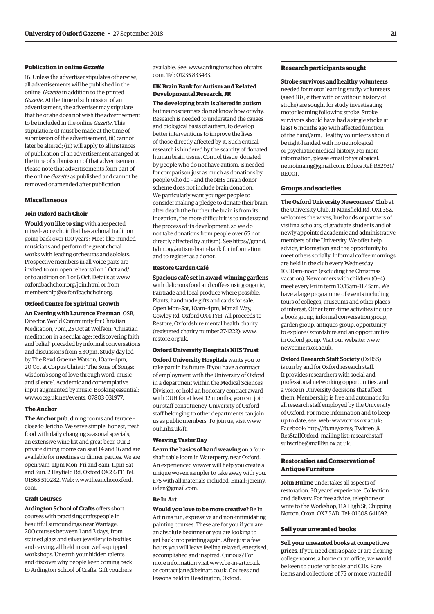# **Publication in online** *Gazette*

16. Unless the advertiser stipulates otherwise, all advertisements will be published in the online *Gazette* in addition to the printed *Gazette*. At the time of submission of an advertisement, the advertiser may stipulate that he or she does not wish the advertisement to be included in the online *Gazette*. This stipulation: (i) must be made at the time of submission of the advertisement; (ii) cannot later be altered; (iii) will apply to all instances of publication of an advertisement arranged at the time of submission of that advertisement. Please note that advertisements form part of the online *Gazette* as published and cannot be removed or amended after publication.

## **Miscellaneous**

#### **Join Oxford Bach Choir**

**Would you like to sing** with a respected mixed-voice choir that has a choral tradition going back over 100 years? Meet like-minded musicians and perform the great choral works with leading orchestras and soloists. Prospective members in all voice parts are invited to our open rehearsal on 1 Oct and/ or to audition on 1 or 6 Oct. Details at [www.](http://www.oxfordbachchoir.org/join.html) [oxfordbachchoir.org/join.html or](http://www.oxfordbachchoir.org/join.html) from [membership@oxfordbachchoir.org.](mailto:membership@oxfordbachchoir.org)

#### **Oxford Centre for Spiritual Growth**

**An Evening with Laurence Freeman**, OSB, Director, World Community for Christian Meditation, 7pm, 25 Oct at Wolfson: 'Christian meditation in a secular age: rediscovering faith and belief' preceded by informal conversations and discussions from 5.30pm. Study day led by The Revd Graeme Watson, 10am–4pm, 20 Oct at Corpus Christi: 'The Song of Songs: wisdom's song of love through word, music and silence'. Academic and contemplative input augmented by music. Booking essential: [www.ocsg.uk.net/events, 07](http://www.ocsg.uk.net/events)803 031977.

# **The Anchor**

**The Anchor pub**, dining rooms and terrace – close to Jericho. We serve simple, honest, fresh food with daily changing seasonal specials, an extensive wine list and great beer. Our 2 private dining rooms can seat 14 and 16 and are available for meetings or dinner parties. We are open 9am–11pm Mon–Fri and 8am–11pm Sat and Sun. 2 Hayfield Rd, Oxford OX2 6TT. Tel: [01865 510282. Web: www.theanchoroxford.](www.theanchoroxford.com) com.

#### **Craft Courses**

**Ardington School of Crafts** offers short courses with practising craftspeople in beautiful surroundings near Wantage. 200 courses between 1 and 3 days, from stained glass and silver jewellery to textiles and carving, all held in our well-equipped workshops. Unearth your hidden talents and discover why people keep coming back to Ardington School of Crafts. Gift vouchers

[available. See: www.ardingtonschoolofcrafts.](www.ardingtonschoolofcrafts.com) com. Tel: 01235 833433.

# **UK Brain Bank for Autism and Related Developmental Research, JR**

**The developing brain is altered in autism** but neuroscientists do not know how or why. Research is needed to understand the causes and biological basis of autism, to develop better interventions to improve the lives of those directly affected by it. Such critical research is hindered by the scarcity of donated human brain tissue. Control tissue, donated by people who do not have autism, is needed for comparison just as much as donations by people who do – and the NHS organ donor scheme does not include brain donation. We particularly want younger people to consider making a pledge to donate their brain after death (the further the brain is from its inception, the more difficult it is to understand the process of its development, so we do not take donations from people over 65 not [directly affected by autism\). See https://grand.](https://grand.tghn.org/autism-brain-bank) tghn.org/autism-brain-bank for information and to register as a donor.

## **Restore Garden Café**

**Spacious café set in award-winning gardens**  with delicious food and coffees using organic, Fairtrade and local produce where possible. Plants, handmade gifts and cards for sale. Open Mon–Sat, 10am–4pm, Manzil Way, Cowley Rd, Oxford OX4 1YH. All proceeds to Restore, Oxfordshire mental health charity (registered charity number 274222): [www.](http://www.restore.org.uk) [restore.org.uk.](http://www.restore.org.uk)

#### **Oxford University Hospitals NHS Trust**

**Oxford University Hospitals** wants you to take part in its future. If you have a contract of employment with the University of Oxford in a department within the Medical Sciences Division, or hold an honorary contract award with OUH for at least 12 months, you can join our staff constituency. University of Oxford staff belonging to other departments can join us as public members. To join us, visit [www.](http://www.ouh.nhs.uk/ft) [ouh.nhs.uk/ft.](http://www.ouh.nhs.uk/ft)

#### **Weaving Taster Day**

**Learn the basics of hand weaving** on a fourshaft table loom in Waterperry, near Oxford. An experienced weaver will help you create a unique woven sampler to take away with you. [£75 with all materials included. Email: jeremy.](mailto:jeremy.uden@gmail.com) uden@gmail.com.

# **Be In Art**

**Would you love to be more creative?** Be In Art runs fun, expressive and non-intimidating painting courses. These are for you if you are an absolute beginner or you are looking to get back into painting again. After just a few hours you will leave feeling relaxed, energised, accomplished and inspired. Curious? For more information visit [www.be-in-art.co.uk](http://www.be-in-art.co.uk)  or contact [jane@beinart.co.uk. Co](mailto:jane@beinart.co.uk)urses and lessons held in Headington, Oxford.

# **Research participants sought**

**Stroke survivors and healthy volunteers**  needed for motor learning study: volunteers (aged 18+, either with or without history of stroke) are sought for study investigating motor learning following stroke. Stroke survivors should have had a single stroke at least 6 months ago with affected function of the hand/arm. Healthy volunteers should be right-handed with no neurological or psychiatric medical history. For more information, please email physiological. [neuroimaing@gmail.com. Ethics Ref: R52931/](mailto:physiological.neuroimaging.gmail.com) RE001.

# **Groups and societies**

**The Oxford University Newcomers' Club** at the University Club, 11 Mansfield Rd, OX1 3SZ, welcomes the wives, husbands or partners of visiting scholars, of graduate students and of newly appointed academic and administrative members of the University. We offer help, advice, information and the opportunity to meet others socially. Informal coffee mornings are held in the club every Wednesday 10.30am–noon (excluding the Christmas vacation). Newcomers with children (0–4) meet every Fri in term 10.15am–11.45am. We have a large programme of events including tours of colleges, museums and other places of interest. Other term-time activities include a book group, informal conversation group, garden group, antiques group, opportunity to explore Oxfordshire and an opportunities in Oxford group. Visit our website: [www.](http://www.newcomers.ox.ac.uk) [newcomers.ox.ac.uk.](http://www.newcomers.ox.ac.uk) 

**Oxford Research Staff Society** (OxRSS) is run by and for Oxford research staff. It provides researchers with social and professional networking opportunities, and a voice in University decisions that affect them. Membership is free and automatic for all research staff employed by the University of Oxford. For more information and to keep up to date, see: web: [www.oxrss.ox.ac.uk;](http://www.oxrss.ox.ac.uk)  Facebook: [http://fb.me/oxrss; Tw](http://fb.me/oxrss)itter: @ [ResStaffOxford; mailing list: researchstaff](mailto:researchstaff-subscribe@maillist.ox.ac.uk)subscribe@maillist.ox.ac.uk.

# **Restoration and Conservation of Antique Furniture**

**John Hulme** undertakes all aspects of restoration. 30 years' experience. Collection and delivery. For free advice, telephone or write to the Workshop, 11A High St, Chipping Norton, Oxon, OX7 5AD. Tel: 01608 641692.

# **Sell your unwanted books**

**Sell your unwanted books at competitive prices**. If you need extra space or are clearing college rooms, a home or an office, we would be keen to quote for books and CDs. Rare items and collections of 75 or more wanted if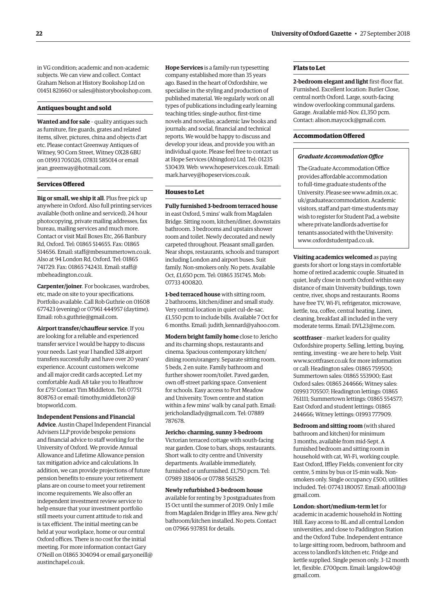in VG condition; academic and non-academic subjects. We can view and collect. Contact Graham Nelson at History Bookshop Ltd on 01451 821660 or [sales@historybookshop.com.](mailto:sales@historybookshop.com)

## **Antiques bought and sold**

**Wanted and for sale** – quality antiques such as furniture, fire guards, grates and related items, silver, pictures, china and objects d'art etc. Please contact Greenway Antiques of Witney, 90 Corn Street, Witney OX28 6BU on 01993 705026, 07831 585014 or email [jean\\_greenway@hotmail.com.](mailto:jean_greenway@hotmail.com)

#### **Services Offered**

**Big or small, we ship it all**. Plus free pick up anywhere in Oxford. Also full printing services available (both online and serviced), 24 hour photocopying, private mailing addresses, fax bureau, mailing services and much more. Contact or visit Mail Boxes Etc, 266 Banbury Rd, Oxford. Tel: 01865 514655. Fax: 01865 514656. Email: [staff@mbesummertown.co.uk.](mailto:staff@mbesummertown.co.uk)  Also at 94 London Rd, Oxford. Tel: 01865 [741729. Fax: 01865 742431. Email: staff@](mailto:staff@mbeheadington.co.uk) mbeheadington.co.uk.

**Carpenter/joiner**. For bookcases, wardrobes, etc, made on site to your specifications. Portfolio available. Call Rob Guthrie on 01608 677423 (evening) or 07961 444957 (daytime). Email: [rob.s.guthrie@gmail.com.](mailto:rob.s.guthrie@gmail.com) 

**Airport transfer/chauffeur service**. If you are looking for a reliable and experienced transfer service I would be happy to discuss your needs. Last year I handled 328 airport transfers successfully and have over 20 years' experience. Account customers welcome and all major credit cards accepted. Let my comfortable Audi A8 take you to Heathrow for £75! Contact Tim Middleton. Tel: 07751 [808763 or email: timothy.middleton2@](mailto:timothy.middleton2@btopworld.com) btopworld.com.

#### **Independent Pensions and Financial**

**Advice**. Austin Chapel Independent Financial Advisers LLP provide bespoke pensions and financial advice to staff working for the University of Oxford. We provide Annual Allowance and Lifetime Allowance pension tax mitigation advice and calculations. In addition, we can provide projections of future pension benefits to ensure your retirement plans are on course to meet your retirement income requirements. We also offer an independent investment review service to help ensure that your investment portfolio still meets your current attitude to risk and is tax efficient. The initial meeting can be held at your workplace, home or our central Oxford offices. There is no cost for the initial meeting. For more information contact Gary [O'Neill on 01865 304094 or email gary.oneill@](mailto:gary.oneill@austinchapel.co.uk) austinchapel.co.uk.

**Hope Services** is a family-run typesetting company established more than 35 years ago. Based in the heart of Oxfordshire, we specialise in the styling and production of published material. We regularly work on all types of publications including early learning teaching titles; single-author, first-time novels and novellas; academic law books and journals; and social, financial and technical reports. We would be happy to discuss and develop your ideas, and provide you with an individual quote. Please feel free to contact us at Hope Services (Abingdon) Ltd. Tel: 01235 530439. Web: [www.hopeservices.co.uk. Em](http://www.hopeservices.co.uk)ail: [mark.harvey@hopeservices.co.uk.](mailto:mark.harvey@hopeservices.co.uk)

# **Houses to Let**

**Fully furnished 3-bedroom terraced house** in east Oxford, 5 mins' walk from Magdalen Bridge. Sitting room, kitchen/diner, downstairs bathroom. 3 bedrooms and upstairs shower room and toilet. Newly decorated and newly carpeted throughout. Pleasant small garden. Near shops, restaurants, schools and transport including London and airport buses. Suit family. Non-smokers only. No pets. Available Oct, £1,650 pcm. Tel: 01865 351745. Mob: 07733 400820.

**1-bed terraced house** with sitting room, 2 bathrooms, kitchen/diner and small study. Very central location in quiet cul-de-sac. £1,550 pcm to include bills. Available 7 Oct for 6 months. Email: [judith\\_kennard@yahoo.com.](mailto:judith_kennard@yahoo.com)

**Modern bright family home** close to Jericho and its charming shops, restaurants and cinema. Spacious contemporary kitchen/ dining room/orangery. Separate sitting room. 5 beds, 2 en suite. Family bathroom and further shower room/toilet. Paved garden, own off-street parking space. Convenient for schools. Easy access to Port Meadow and University. Town centre and station within a few mins' walk by canal path. Email: [jericholandlady@gmail.com. Te](mailto:jericholandlady@gmail.com)l: 07889 787678.

#### **Jericho: charming, sunny 3-bedroom**

Victorian terraced cottage with south-facing rear garden. Close to bars, shops, restaurants. Short walk to city centre and University departments. Available immediately, furnished or unfurnished. £1,750 pcm. Tel: 07989 318406 or 07788 561529.

# **Newly refurbished 3-bedroom house**

available for renting by 3 postgraduates from 15 Oct until the summer of 2019. Only 1 mile from Magdalen Bridge in Iffley area. New gch/ bathroom/kitchen installed. No pets. Contact on 07966 937851 for details.

# **Flats to Let**

**2-bedroom elegant and light** first-floor flat. Furnished. Excellent location: Butler Close, central north Oxford. Large, south-facing window overlooking communal gardens. Garage. Available mid-Nov. £1,350 pcm. Contact: [alison.maycock@gmail.com.](mailto:alison.maycock@gmail.com)

# **Accommodation Offered**

## *Graduate Accommodation Office*

The Graduate Accommodation Office provides affordable accommodation to full-time graduate students of the [University. Please see www.admin.ox.ac.](www.admin.ox.ac.uk/graduateaccommodation) uk/graduateaccommodation. Academic visitors, staff and part-time students may wish to register for Student Pad, a website where private landlords advertise for tenants associated with the University: [www.oxfordstudentpad.co.uk.](http://www.oxfordstudentpad.co.uk)

**Visiting academics welcomed** as paying guests for short or long stays in comfortable home of retired academic couple. Situated in quiet, leafy close in north Oxford within easy distance of main University buildings, town centre, river, shops and restaurants. Rooms have free TV, Wi-Fi, refrigerator, microwave, kettle, tea, coffee, central heating. Linen, cleaning, breakfast all included in the very moderate terms. Email: [DVL23@me.com.](mailto:DVL23@me.com)

**scottfraser** – market leaders for quality Oxfordshire property. Selling, letting, buying, renting, investing – we are here to help. Visit [www.scottfraser.co.uk for](http://www.scottfraser.co.uk) more information or call: Headington sales: 01865 759500; Summertown sales: 01865 553900; East Oxford sales: 01865 244666; Witney sales: 01993 705507; Headington lettings: 01865 761111; Summertown lettings: 01865 554577; East Oxford and student lettings: 01865 244666; Witney lettings: 01993 777909.

**Bedroom and sitting room** (with shared bathroom and kitchen) for minimum 3 months, available from mid-Sept. A furnished bedroom and sitting room in household with cat, Wi-Fi, working couple. East Oxford, Iffley Fields; convenient for city centre, 5 mins by bus or 15-min walk. Nonsmokers only. Single occupancy £500, utilities [included. Tel: 07743 180057. Email: af10031@](mailto:afl0031@gmail.com) gmail.com.

**London: short/medium-term let** for academic in academic household in Notting Hill. Easy access to BL and all central London universities, and close to Paddington Station and the Oxford Tube. Independent entrance to large sitting room, bedroom, bathroom and access to landlord's kitchen etc. Fridge and kettle supplied. Single person only. 3–12 month [let, flexible. £700pcm. Email: langslow40@](mailto:langslow40@gmail.com) gmail.com.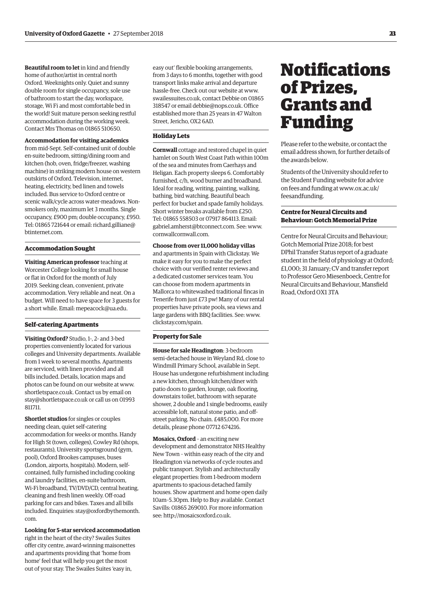<span id="page-14-0"></span>**Beautiful room to let** in kind and friendly home of author/artist in central north Oxford. Weeknights only. Quiet and sunny double room for single occupancy, sole use of bathroom to start the day, workspace, storage, Wi Fi and most comfortable bed in the world! Suit mature person seeking restful accommodation during the working week. Contact Mrs Thomas on 01865 510650.

#### **Accommodation for visiting academics**

from mid-Sept. Self-contained unit of double en-suite bedroom, sitting/dining room and kitchen (hob, oven, fridge/freezer, washing machine) in striking modern house on western outskirts of Oxford. Television, internet, heating, electricity, bed linen and towels included. Bus service to Oxford centre or scenic walk/cycle across water-meadows. Nonsmokers only, maximum let 3 months. Single occupancy, £900 pm; double occupancy, £950. [Tel: 01865 721644 or email: richard.gilliane@](mailto:richard.gilliane@btinternet.com) btinternet.com.

#### **Accommodation Sought**

**Visiting American professor** teaching at Worcester College looking for small house or flat in Oxford for the month of July 2019. Seeking clean, convenient, private accommodation. Very reliable and neat. On a budget. Will need to have space for 3 guests for a short while. Email: [mepeacock@ua.edu.](mailto:mepeacock@ua.edu)

# **Self-catering Apartments**

**Visiting Oxford?** Studio, 1-, 2- and 3-bed properties conveniently located for various colleges and University departments. Available from 1 week to several months. Apartments are serviced, with linen provided and all bills included. Details, location maps and photos can be found on our website at [www.](http://www.shortletspace.co.uk) [shortletspace.co.uk. Co](http://www.shortletspace.co.uk)ntact us by email on [stay@shortletspace.co.uk or](mailto:stay@shortletspace.co.uk) call us on 01993 811711.

**Shortlet studios** for singles or couples needing clean, quiet self-catering accommodation for weeks or months. Handy for High St (town, colleges), Cowley Rd (shops, restaurants), University sportsground (gym, pool), Oxford Brookes campuses, buses (London, airports, hospitals). Modern, selfcontained, fully furnished including cooking and laundry facilities, en-suite bathroom, Wi-Fi broadband, TV/DVD/CD, central heating, cleaning and fresh linen weekly. Off-road parking for cars and bikes. Taxes and all bills [included. Enquiries: stay@oxfordbythemonth.](mailto:stay@oxfordbythemonth.com) com.

# **Looking for 5-star serviced accommodation**

right in the heart of the city? Swailes Suites offer city centre, award-winning maisonettes and apartments providing that 'home from home' feel that will help you get the most out of your stay. The Swailes Suites 'easy in,

easy out' flexible booking arrangements, from 3 days to 6 months, together with good transport links make arrival and departure hassle-free. Check out our website at [www.](http://www.swailessuites.co.uk) [swailessuites.co.uk, co](http://www.swailessuites.co.uk)ntact Debbie on 01865 318547 or email [debbie@nops.co.uk. Of](mailto:debbie@nops.co.uk)fice established more than 25 years in 47 Walton Street, Jericho, OX2 6AD.

#### **Holiday Lets**

**Cornwall** cottage and restored chapel in quiet hamlet on South West Coast Path within 100m of the sea and minutes from Caerhays and Heligan. Each property sleeps 6. Comfortably furnished, c/h, wood burner and broadband. Ideal for reading, writing, painting, walking, bathing, bird watching. Beautiful beach perfect for bucket and spade family holidays. Short winter breaks available from £250. Tel: 01865 558503 or 07917 864113. Email: [gabriel.amherst@btconnect.com. Se](mailto:gabriel.amherst@btconnect.com)e: [www.](http://www.cornwallcornwall.com) [cornwallcornwall.com.](http://www.cornwallcornwall.com)

# **Choose from over 11,000 holiday villas**

and apartments in Spain with Clickstay. We make it easy for you to make the perfect choice with our verified renter reviews and a dedicated customer services team. You can choose from modern apartments in Mallorca to whitewashed traditional fincas in Tenerife from just £73 pw! Many of our rental properties have private pools, sea views and large gardens with BBQ facilities. See: [www.](http://www.clickstay.com/spain) [clickstay.com/spain.](http://www.clickstay.com/spain)

## **Property for Sale**

**House for sale Headington**: 3-bedroom semi-detached house in Weyland Rd, close to Windmill Primary School, available in Sept. House has undergone refurbishment including a new kitchen, through kitchen/diner with patio doors to garden, lounge, oak flooring, downstairs toilet, bathroom with separate shower, 2 double and 1 single bedrooms, easily accessible loft, natural stone patio, and offstreet parking. No chain. £485,000. For more details, please phone 07712 674216.

**Mosaics, Oxford** – an exciting new development and demonstrator NHS Healthy New Town – within easy reach of the city and Headington via networks of cycle routes and public transport. Stylish and architecturally elegant properties: from 1-bedroom modern apartments to spacious detached family houses. Show apartment and home open daily 10am–5.30pm. Help to Buy available. Contact Savills: 01865 269010. For more information see: [http://mosaicsoxford.co.uk.](http://mosaicsoxford.co.uk)

# **Notifications** of Prizes, Grants and Funding

Please refer to the website, or contact the email address shown, for further details of the awards below.

Students of the University should refer to the Student Funding website for advice [on fees and funding at www.ox.ac.uk/](www.ox.ac.uk/feesandfunding) feesandfunding.

# **Centre for Neural Circuits and Behaviour: Gotch Memorial Prize**

Centre for Neural Circuits and Behaviour; Gotch Memorial Prize 2018; for best DPhil Transfer Status report of a graduate student in the field of physiology at Oxford; £1,000; 31 January; CV and transfer report to Professor Gero Miesenboeck, Centre for Neural Circuits and Behaviour, Mansfield Road, Oxford OX1 3TA